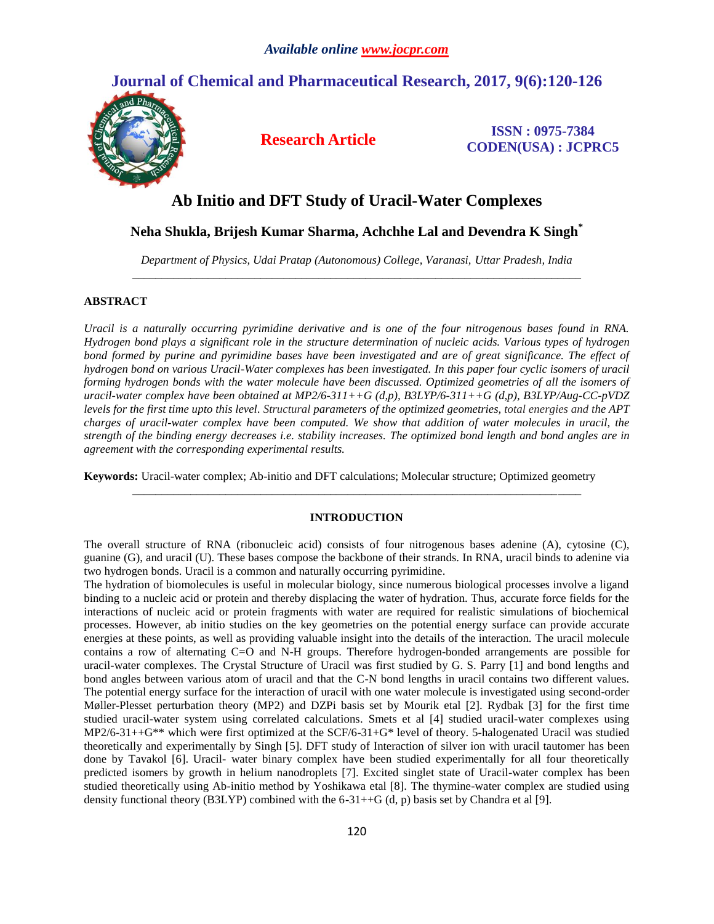# **Journal of Chemical and Pharmaceutical Research, 2017, 9(6):120-126**



**Research Article ISSN : 0975-7384 CODEN(USA) : JCPRC5**

# **Ab Initio and DFT Study of Uracil-Water Complexes**

# **Neha Shukla, Brijesh Kumar Sharma, Achchhe Lal and Devendra K Singh\***

*Department of Physics, Udai Pratap (Autonomous) College, Varanasi, Uttar Pradesh, India \_\_\_\_\_\_\_\_\_\_\_\_\_\_\_\_\_\_\_\_\_\_\_\_\_\_\_\_\_\_\_\_\_\_\_\_\_\_\_\_\_\_\_\_\_\_\_\_\_\_\_\_\_\_\_\_\_\_\_\_\_\_\_\_\_\_\_\_\_\_\_\_\_\_\_\_\_*

# **ABSTRACT**

*Uracil is a naturally occurring pyrimidine derivative and is one of the four nitrogenous bases found in RNA. Hydrogen bond plays a significant role in the structure determination of nucleic acids. Various types of hydrogen*  bond formed by purine and pyrimidine bases have been investigated and are of great significance. The effect of *hydrogen bond on various Uracil-Water complexes has been investigated. In this paper four cyclic isomers of uracil forming hydrogen bonds with the water molecule have been discussed. Optimized geometries of all the isomers of uracil-water complex have been obtained at MP2/6-311++G (d,p), B3LYP/6-311++G (d,p), B3LYP/Aug-CC-pVDZ levels for the first time upto this level. Structural parameters of the optimized geometries, total energies and the APT charges of uracil-water complex have been computed. We show that addition of water molecules in uracil, the strength of the binding energy decreases i.e. stability increases. The optimized bond length and bond angles are in agreement with the corresponding experimental results.*

**Keywords:** Uracil-water complex; Ab-initio and DFT calculations; Molecular structure; Optimized geometry

# **INTRODUCTION**

*\_\_\_\_\_\_\_\_\_\_\_\_\_\_\_\_\_\_\_\_\_\_\_\_\_\_\_\_\_\_\_\_\_\_\_\_\_\_\_\_\_\_\_\_\_\_\_\_\_\_\_\_\_\_\_\_\_\_\_\_\_\_\_\_\_\_\_\_\_\_\_\_\_\_\_\_\_*

The overall structure of RNA (ribonucleic acid) consists of four nitrogenous bases adenine (A), cytosine (C), guanine (G), and uracil (U). These bases compose the backbone of their strands. In RNA, uracil binds to adenine via two hydrogen bonds. Uracil is a common and naturally occurring pyrimidine.

The hydration of biomolecules is useful in molecular biology, since numerous biological processes involve a ligand binding to a nucleic acid or protein and thereby displacing the water of hydration. Thus, accurate force fields for the interactions of nucleic acid or protein fragments with water are required for realistic simulations of biochemical processes. However, ab initio studies on the key geometries on the potential energy surface can provide accurate energies at these points, as well as providing valuable insight into the details of the interaction. The uracil molecule contains a row of alternating C=O and N-H groups. Therefore hydrogen-bonded arrangements are possible for uracil-water complexes. The Crystal Structure of Uracil was first studied by G. S. Parry [1] and bond lengths and bond angles between various atom of uracil and that the C-N bond lengths in uracil contains two different values. The potential energy surface for the interaction of uracil with one water molecule is investigated using second-order Møller-Plesset perturbation theory (MP2) and DZPi basis set by Mourik etal [2]. Rydbak [3] for the first time studied uracil-water system using correlated calculations. Smets et al [4] studied uracil-water complexes using MP2/6-31++G\*\* which were first optimized at the SCF/6-31+G\* level of theory. 5-halogenated Uracil was studied theoretically and experimentally by Singh [5]. DFT study of Interaction of silver ion with uracil tautomer has been done by Tavakol [6]. Uracil- water binary complex have been studied experimentally for all four theoretically predicted isomers by growth in helium nanodroplets [7]. Excited singlet state of Uracil-water complex has been studied theoretically using Ab-initio method by Yoshikawa etal [8]. The thymine-water complex are studied using density functional theory (B3LYP) combined with the  $6-31++G$  (d, p) basis set by Chandra et al [9].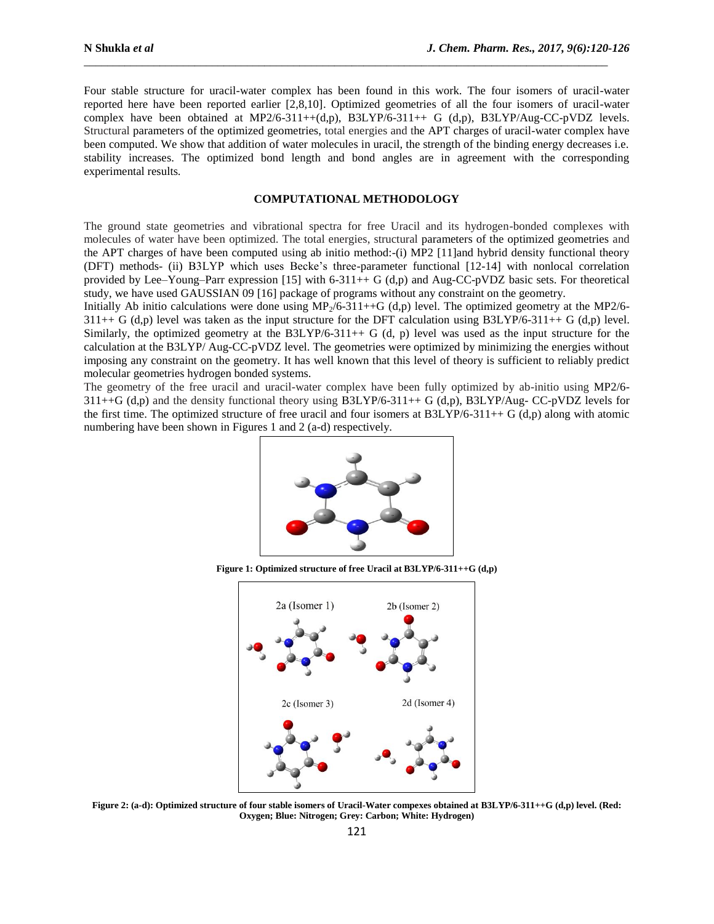Four stable structure for uracil-water complex has been found in this work. The four isomers of uracil-water reported here have been reported earlier [2,8,10]. Optimized geometries of all the four isomers of uracil-water complex have been obtained at MP2/6-311++(d,p), B3LYP/6-311++ G (d,p), B3LYP/Aug-CC-pVDZ levels. Structural parameters of the optimized geometries, total energies and the APT charges of uracil-water complex have been computed. We show that addition of water molecules in uracil, the strength of the binding energy decreases i.e. stability increases. The optimized bond length and bond angles are in agreement with the corresponding experimental results.

\_\_\_\_\_\_\_\_\_\_\_\_\_\_\_\_\_\_\_\_\_\_\_\_\_\_\_\_\_\_\_\_\_\_\_\_\_\_\_\_\_\_\_\_\_\_\_\_\_\_\_\_\_\_\_\_\_\_\_\_\_\_\_\_\_\_\_\_\_\_\_\_\_\_\_\_\_\_\_\_\_\_\_\_\_\_\_\_\_\_

# **COMPUTATIONAL METHODOLOGY**

The ground state geometries and vibrational spectra for free Uracil and its hydrogen-bonded complexes with molecules of water have been optimized. The total energies, structural parameters of the optimized geometries and the APT charges of have been computed using ab initio method:-(i) MP2 [11]and hybrid density functional theory (DFT) methods- (ii) B3LYP which uses Becke's three-parameter functional [12-14] with nonlocal correlation provided by Lee–Young–Parr expression [15] with 6-311++ G (d,p) and Aug-CC-pVDZ basic sets. For theoretical study, we have used GAUSSIAN 09 [16] package of programs without any constraint on the geometry.

Initially Ab initio calculations were done using  $MP_2/6-311++G$  (d,p) level. The optimized geometry at the MP2/6- $311++ G$  (d,p) level was taken as the input structure for the DFT calculation using B3LYP/6-311++ G (d,p) level. Similarly, the optimized geometry at the B3LYP/6-311++ G  $(d, p)$  level was used as the input structure for the calculation at the B3LYP/ Aug-CC-pVDZ level. The geometries were optimized by minimizing the energies without imposing any constraint on the geometry. It has well known that this level of theory is sufficient to reliably predict molecular geometries hydrogen bonded systems.

The geometry of the free uracil and uracil-water complex have been fully optimized by ab-initio using MP2/6-  $311++G$  (d,p) and the density functional theory using B3LYP/6-311++ G (d,p), B3LYP/Aug- CC-pVDZ levels for the first time. The optimized structure of free uracil and four isomers at  $B3LYP/6-311++ G$  (d,p) along with atomic numbering have been shown in Figures 1 and 2 (a-d) respectively.



**Figure 1: Optimized structure of free Uracil at B3LYP/6-311++G (d,p)**



**Figure 2: (a-d): Optimized structure of four stable isomers of Uracil-Water compexes obtained at B3LYP/6-311++G (d,p) level. (Red: Oxygen; Blue: Nitrogen; Grey: Carbon; White: Hydrogen)**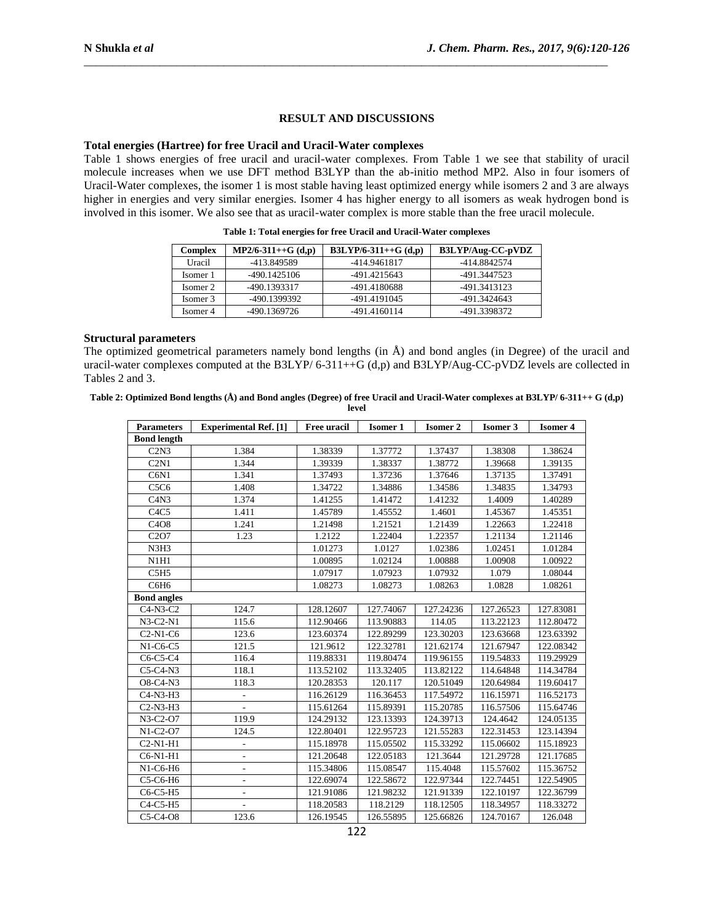# **RESULT AND DISCUSSIONS**

\_\_\_\_\_\_\_\_\_\_\_\_\_\_\_\_\_\_\_\_\_\_\_\_\_\_\_\_\_\_\_\_\_\_\_\_\_\_\_\_\_\_\_\_\_\_\_\_\_\_\_\_\_\_\_\_\_\_\_\_\_\_\_\_\_\_\_\_\_\_\_\_\_\_\_\_\_\_\_\_\_\_\_\_\_\_\_\_\_\_

### **Total energies (Hartree) for free Uracil and Uracil-Water complexes**

Table 1 shows energies of free uracil and uracil-water complexes. From Table 1 we see that stability of uracil molecule increases when we use DFT method B3LYP than the ab-initio method MP2. Also in four isomers of Uracil-Water complexes, the isomer 1 is most stable having least optimized energy while isomers 2 and 3 are always higher in energies and very similar energies. Isomer 4 has higher energy to all isomers as weak hydrogen bond is involved in this isomer. We also see that as uracil-water complex is more stable than the free uracil molecule.

| Complex  | $MP2/6-311++G(d,p)$ | $B3LYP/6-311++G(d,p)$ | B3LYP/Aug-CC-pVDZ |
|----------|---------------------|-----------------------|-------------------|
| Uracil   | -413.849589         | -414.9461817          | -414.8842574      |
| Isomer 1 | -490.1425106        | -491.4215643          | -491.3447523      |
| Isomer 2 | -490.1393317        | -491.4180688          | -491.3413123      |
| Isomer 3 | -490.1399392        | -491.4191045          | -491.3424643      |
| Isomer 4 | -490.1369726        | -491.4160114          | -491.3398372      |

**Table 1: Total energies for free Uracil and Uracil-Water complexes**

#### **Structural parameters**

The optimized geometrical parameters namely bond lengths (in  $\hat{A}$ ) and bond angles (in Degree) of the uracil and uracil-water complexes computed at the B3LYP/ 6-311++G (d,p) and B3LYP/Aug-CC-pVDZ levels are collected in Tables 2 and 3.

| Table 2: Optimized Bond lengths (A) and Bond angles (Degree) of free Uracil and Uracil-Water complexes at B3LYP/ 6-311++ G (d,p) |
|----------------------------------------------------------------------------------------------------------------------------------|
| level                                                                                                                            |

| <b>Parameters</b>                              | <b>Experimental Ref.</b> [1] | Free uracil | <b>Isomer 1</b> | <b>Isomer 2</b> | <b>Isomer 3</b> | <b>Isomer 4</b> |  |
|------------------------------------------------|------------------------------|-------------|-----------------|-----------------|-----------------|-----------------|--|
| <b>Bond length</b>                             |                              |             |                 |                 |                 |                 |  |
| C2N3                                           | 1.384                        | 1.38339     | 1.37772         | 1.37437         | 1.38308         | 1.38624         |  |
| C2N1                                           | 1.344                        | 1.39339     | 1.38337         | 1.38772         | 1.39668         | 1.39135         |  |
| C6N1                                           | 1.341                        | 1.37493     | 1.37236         | 1.37646         | 1.37135         | 1.37491         |  |
| C <sub>5</sub> C <sub>6</sub>                  | 1.408                        | 1.34722     | 1.34886         | 1.34586         | 1.34835         | 1.34793         |  |
| C4N3                                           | 1.374                        | 1.41255     | 1.41472         | 1.41232         | 1.4009          | 1.40289         |  |
| C <sub>4</sub> C <sub>5</sub>                  | 1.411                        | 1.45789     | 1.45552         | 1.4601          | 1.45367         | 1.45351         |  |
| C <sub>4</sub> O <sub>8</sub>                  | 1.241                        | 1.21498     | 1.21521         | 1.21439         | 1.22663         | 1.22418         |  |
| C <sub>2</sub> O <sub>7</sub>                  | 1.23                         | 1.2122      | 1.22404         | 1.22357         | 1.21134         | 1.21146         |  |
| N3H3                                           |                              | 1.01273     | 1.0127          | 1.02386         | 1.02451         | 1.01284         |  |
| N1H1                                           |                              | 1.00895     | 1.02124         | 1.00888         | 1.00908         | 1.00922         |  |
| C5H5                                           |                              | 1.07917     | 1.07923         | 1.07932         | 1.079           | 1.08044         |  |
| C6H <sub>6</sub>                               |                              | 1.08273     | 1.08273         | 1.08263         | 1.0828          | 1.08261         |  |
| <b>Bond angles</b>                             |                              |             |                 |                 |                 |                 |  |
| $C4-N3-C2$                                     | 124.7                        | 128.12607   | 127.74067       | 127.24236       | 127.26523       | 127.83081       |  |
| $N3-C2-N1$                                     | 115.6                        | 112.90466   | 113.90883       | 114.05          | 113.22123       | 112.80472       |  |
| $C2-N1-C6$                                     | 123.6                        | 123.60374   | 122.89299       | 123.30203       | 123.63668       | 123.63392       |  |
| $N1-C6-C5$                                     | 121.5                        | 121.9612    | 122.32781       | 121.62174       | 121.67947       | 122.08342       |  |
| $C6-C5-C4$                                     | 116.4                        | 119.88331   | 119.80474       | 119.96155       | 119.54833       | 119.29929       |  |
| $C5-C4-N3$                                     | 118.1                        | 113.52102   | 113.32405       | 113.82122       | 114.64848       | 114.34784       |  |
| O8-C4-N3                                       | 118.3                        | 120.28353   | 120.117         | 120.51049       | 120.64984       | 119.60417       |  |
| C <sub>4</sub> -N <sub>3</sub> -H <sub>3</sub> | $\overline{a}$               | 116.26129   | 116.36453       | 117.54972       | 116.15971       | 116.52173       |  |
| $C2-N3-H3$                                     |                              | 115.61264   | 115.89391       | 115.20785       | 116.57506       | 115.64746       |  |
| N3-C2-O7                                       | 119.9                        | 124.29132   | 123.13393       | 124.39713       | 124.4642        | 124.05135       |  |
| $N1-C2-O7$                                     | 124.5                        | 122.80401   | 122.95723       | 121.55283       | 122.31453       | 123.14394       |  |
| $C2-N1-H1$                                     | $\overline{a}$               | 115.18978   | 115.05502       | 115.33292       | 115.06602       | 115.18923       |  |
| C6-N1-H1                                       |                              | 121.20648   | 122.05183       | 121.3644        | 121.29728       | 121.17685       |  |
| N1-C6-H6                                       | $\overline{a}$               | 115.34806   | 115.08547       | 115.4048        | 115.57602       | 115.36752       |  |
| C5-C6-H6                                       | $\overline{\phantom{a}}$     | 122.69074   | 122.58672       | 122.97344       | 122.74451       | 122.54905       |  |
| $C6-C5-H5$                                     |                              | 121.91086   | 121.98232       | 121.91339       | 122.10197       | 122.36799       |  |
| $C4-C5-H5$                                     |                              | 118.20583   | 118.2129        | 118.12505       | 118.34957       | 118.33272       |  |
| $C5-C4-08$                                     | 123.6                        | 126.19545   | 126.55895       | 125.66826       | 124.70167       | 126.048         |  |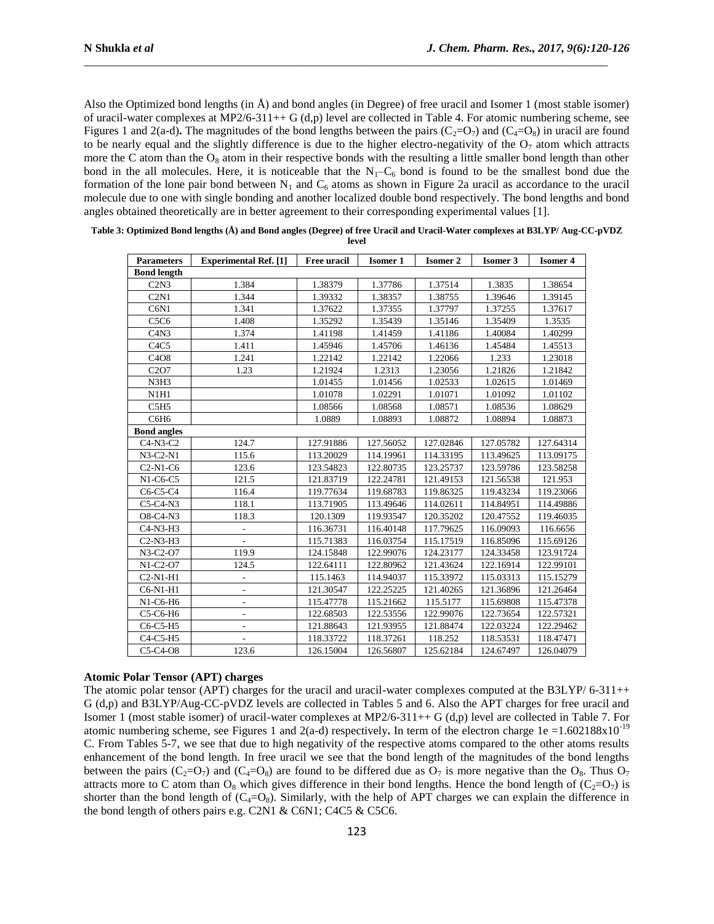Also the Optimized bond lengths (in  $\hat{A}$ ) and bond angles (in Degree) of free uracil and Isomer 1 (most stable isomer) of uracil-water complexes at MP2/6-311++ G (d,p) level are collected in Table 4. For atomic numbering scheme, see Figures 1 and 2(a-d). The magnitudes of the bond lengths between the pairs  $(C_2=O_7)$  and  $(C_4=O_8)$  in uracil are found to be nearly equal and the slightly difference is due to the higher electro-negativity of the  $O<sub>7</sub>$  atom which attracts more the C atom than the  $O_8$  atom in their respective bonds with the resulting a little smaller bond length than other bond in the all molecules. Here, it is noticeable that the  $N_1-C_6$  bond is found to be the smallest bond due the formation of the lone pair bond between  $N_1$  and  $C_6$  atoms as shown in Figure 2a uracil as accordance to the uracil molecule due to one with single bonding and another localized double bond respectively. The bond lengths and bond angles obtained theoretically are in better agreement to their corresponding experimental values [1].

\_\_\_\_\_\_\_\_\_\_\_\_\_\_\_\_\_\_\_\_\_\_\_\_\_\_\_\_\_\_\_\_\_\_\_\_\_\_\_\_\_\_\_\_\_\_\_\_\_\_\_\_\_\_\_\_\_\_\_\_\_\_\_\_\_\_\_\_\_\_\_\_\_\_\_\_\_\_\_\_\_\_\_\_\_\_\_\_\_\_

| <b>Parameters</b>                              | <b>Experimental Ref.</b> [1] | Free uracil | Isomer 1  | <b>Isomer 2</b> | <b>Isomer 3</b> | <b>Isomer 4</b> |  |
|------------------------------------------------|------------------------------|-------------|-----------|-----------------|-----------------|-----------------|--|
| <b>Bond length</b>                             |                              |             |           |                 |                 |                 |  |
| C2N3                                           | 1.384                        | 1.38379     | 1.37786   | 1.37514         | 1.3835          | 1.38654         |  |
| C2N1                                           | 1.344                        | 1.39332     | 1.38357   | 1.38755         | 1.39646         | 1.39145         |  |
| C6N1                                           | 1.341                        | 1.37622     | 1.37355   | 1.37797         | 1.37255         | 1.37617         |  |
| C <sub>5</sub> C <sub>6</sub>                  | 1.408                        | 1.35292     | 1.35439   | 1.35146         | 1.35409         | 1.3535          |  |
| C4N3                                           | 1.374                        | 1.41198     | 1.41459   | 1.41186         | 1.40084         | 1.40299         |  |
| C4C5                                           | 1.411                        | 1.45946     | 1.45706   | 1.46136         | 1.45484         | 1.45513         |  |
| C <sub>4</sub> O <sub>8</sub>                  | 1.241                        | 1.22142     | 1.22142   | 1.22066         | 1.233           | 1.23018         |  |
| C <sub>2</sub> O <sub>7</sub>                  | 1.23                         | 1.21924     | 1.2313    | 1.23056         | 1.21826         | 1.21842         |  |
| N3H3                                           |                              | 1.01455     | 1.01456   | 1.02533         | 1.02615         | 1.01469         |  |
| N1H1                                           |                              | 1.01078     | 1.02291   | 1.01071         | 1.01092         | 1.01102         |  |
| C <sub>5</sub> H <sub>5</sub>                  |                              | 1.08566     | 1.08568   | 1.08571         | 1.08536         | 1.08629         |  |
| C6H <sub>6</sub>                               |                              | 1.0889      | 1.08893   | 1.08872         | 1.08894         | 1.08873         |  |
| <b>Bond angles</b>                             |                              |             |           |                 |                 |                 |  |
| $C4-N3-C2$                                     | 124.7                        | 127.91886   | 127.56052 | 127.02846       | 127.05782       | 127.64314       |  |
| $N3-C2-N1$                                     | 115.6                        | 113.20029   | 114.19961 | 114.33195       | 113.49625       | 113.09175       |  |
| $C2-N1-C6$                                     | 123.6                        | 123.54823   | 122.80735 | 123.25737       | 123.59786       | 123.58258       |  |
| $N1-C6-C5$                                     | 121.5                        | 121.83719   | 122.24781 | 121.49153       | 121.56538       | 121.953         |  |
| $C6-C5-C4$                                     | 116.4                        | 119.77634   | 119.68783 | 119.86325       | 119.43234       | 119.23066       |  |
| $C5-C4-N3$                                     | 118.1                        | 113.71905   | 113.49646 | 114.02611       | 114.84951       | 114.49886       |  |
| O8-C4-N3                                       | 118.3                        | 120.1309    | 119.93547 | 120.35202       | 120.47552       | 119.46035       |  |
| C <sub>4</sub> -N <sub>3</sub> -H <sub>3</sub> | $\overline{\phantom{a}}$     | 116.36731   | 116.40148 | 117.79625       | 116.09093       | 116.6656        |  |
| $C2-N3-H3$                                     |                              | 115.71383   | 116.03754 | 115.17519       | 116.85096       | 115.69126       |  |
| N3-C2-O7                                       | 119.9                        | 124.15848   | 122.99076 | 124.23177       | 124.33458       | 123.91724       |  |
| N1-C2-O7                                       | 124.5                        | 122.64111   | 122.80962 | 121.43624       | 122.16914       | 122.99101       |  |
| $C2-N1-H1$                                     | $\qquad \qquad \blacksquare$ | 115.1463    | 114.94037 | 115.33972       | 115.03313       | 115.15279       |  |
| C6-N1-H1                                       | $\overline{\phantom{a}}$     | 121.30547   | 122.25225 | 121.40265       | 121.36896       | 121.26464       |  |
| N1-C6-H6                                       | $\overline{\phantom{a}}$     | 115.47778   | 115.21662 | 115.5177        | 115.69808       | 115.47378       |  |
| C5-C6-H6                                       | $\overline{\phantom{a}}$     | 122.68503   | 122.53556 | 122.99076       | 122.73654       | 122.57321       |  |
| $C6-C5-H5$                                     | L,                           | 121.88643   | 121.93955 | 121.88474       | 122.03224       | 122.29462       |  |
| $C4-C5-H5$                                     | $\overline{\phantom{a}}$     | 118.33722   | 118.37261 | 118.252         | 118.53531       | 118.47471       |  |
| $C5-C4-08$                                     | 123.6                        | 126.15004   | 126.56807 | 125.62184       | 124.67497       | 126.04079       |  |

| Table 3: Optimized Bond lengths (Å) and Bond angles (Degree) of free Uracil and Uracil-Water complexes at B3LYP/ Aug-CC-pVDZ |  |
|------------------------------------------------------------------------------------------------------------------------------|--|
| level                                                                                                                        |  |

## **Atomic Polar Tensor (APT) charges**

The atomic polar tensor (APT) charges for the uracil and uracil-water complexes computed at the B3LYP/ 6-311++ G (d,p) and B3LYP/Aug-CC-pVDZ levels are collected in Tables 5 and 6. Also the APT charges for free uracil and Isomer 1 (most stable isomer) of uracil-water complexes at MP2/6-311++ G (d,p) level are collected in Table 7. For atomic numbering scheme, see Figures 1 and 2(a-d) respectively. In term of the electron charge  $1e = 1.602188x10^{-19}$ C. From Tables 5-7, we see that due to high negativity of the respective atoms compared to the other atoms results enhancement of the bond length. In free uracil we see that the bond length of the magnitudes of the bond lengths between the pairs (C<sub>2</sub>=O<sub>7</sub>) and (C<sub>4</sub>=O<sub>8</sub>) are found to be differed due as O<sub>7</sub> is more negative than the O<sub>8</sub>. Thus O<sub>7</sub> attracts more to C atom than  $O_8$  which gives difference in their bond lengths. Hence the bond length of  $(C_2=O_7)$  is shorter than the bond length of  $(C_4=O_8)$ . Similarly, with the help of APT charges we can explain the difference in the bond length of others pairs e.g. C2N1 & C6N1; C4C5 & C5C6.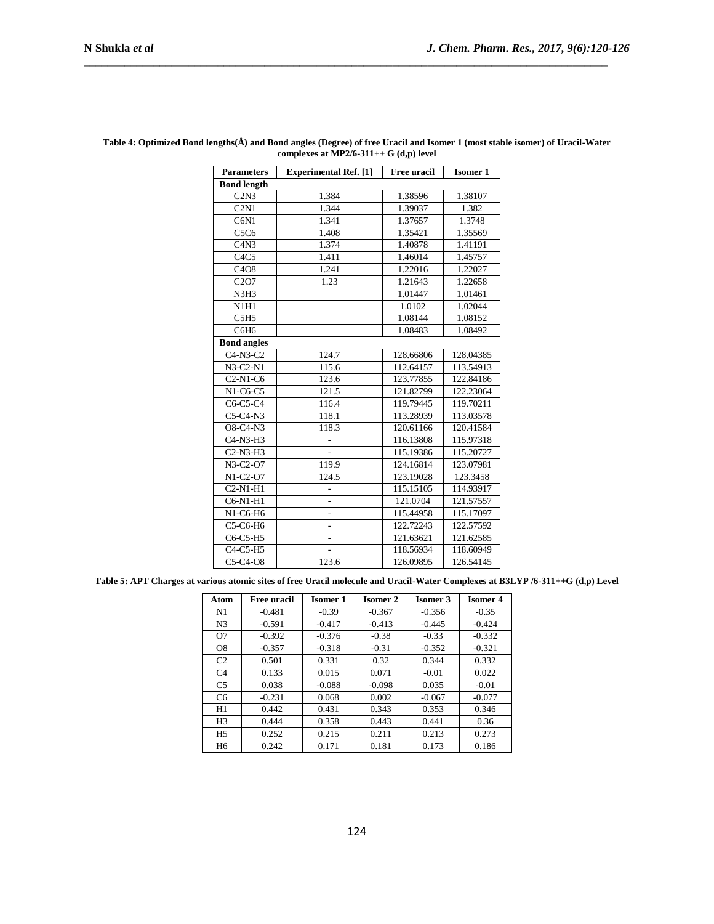| <b>Parameters</b>                              | <b>Experimental Ref.</b> [1] | <b>Free uracil</b> | <b>Isomer 1</b> |  |  |  |  |
|------------------------------------------------|------------------------------|--------------------|-----------------|--|--|--|--|
| <b>Bond length</b>                             |                              |                    |                 |  |  |  |  |
| $\overline{\text{C2N3}}$                       | 1.384                        | 1.38596            | 1.38107         |  |  |  |  |
| C2N1                                           | 1.344                        | 1.39037            | 1.382           |  |  |  |  |
| C6N1                                           | 1.341                        | 1.37657            | 1.3748          |  |  |  |  |
| C5C6                                           | 1.408                        | 1.35421            | 1.35569         |  |  |  |  |
| C4N3                                           | 1.374                        | 1.40878            | 1.41191         |  |  |  |  |
| C <sub>4</sub> C <sub>5</sub>                  | 1.411                        | 1.46014            | 1.45757         |  |  |  |  |
| C4O8                                           | 1.241                        | 1.22016            | 1.22027         |  |  |  |  |
| C <sub>2</sub> O <sub>7</sub>                  | 1.23                         | 1.21643            | 1.22658         |  |  |  |  |
| N3H3                                           |                              | 1.01447            | 1.01461         |  |  |  |  |
| N1H1                                           |                              | 1.0102             | 1.02044         |  |  |  |  |
| C5H5                                           |                              | 1.08144            | 1.08152         |  |  |  |  |
| C6H <sub>6</sub>                               |                              | 1.08483            | 1.08492         |  |  |  |  |
| <b>Bond angles</b>                             |                              |                    |                 |  |  |  |  |
| $C4-N3-C2$                                     | 124.7                        | 128.66806          | 128.04385       |  |  |  |  |
| $N3-C2-N1$                                     | 115.6                        | 112.64157          | 113.54913       |  |  |  |  |
| $C2-N1-C6$                                     | 123.6                        | 123.77855          | 122.84186       |  |  |  |  |
| $N1-C6-C5$                                     | 121.5                        | 121.82799          | 122.23064       |  |  |  |  |
| $C6-C5-C4$                                     | 116.4                        | 119.79445          | 119.70211       |  |  |  |  |
| $C5-C4-N3$                                     | 118.1                        | 113.28939          | 113.03578       |  |  |  |  |
| O8-C4-N3                                       | 118.3                        | 120.61166          | 120.41584       |  |  |  |  |
| C <sub>4</sub> -N <sub>3</sub> -H <sub>3</sub> | $\overline{a}$               | 116.13808          | 115.97318       |  |  |  |  |
| C <sub>2</sub> -N <sub>3</sub> -H <sub>3</sub> | $\overline{\phantom{a}}$     | 115.19386          | 115.20727       |  |  |  |  |
| N3-C2-O7                                       | 119.9                        | 124.16814          | 123.07981       |  |  |  |  |
| $N1-C2-O7$                                     | 124.5                        | 123.19028          | 123.3458        |  |  |  |  |
| $C2-N1-H1$                                     | $\overline{a}$               | 115.15105          | 114.93917       |  |  |  |  |
| C6-N1-H1                                       | $\overline{a}$               | 121.0704           | 121.57557       |  |  |  |  |
| N1-C6-H6                                       | -                            | 115.44958          | 115.17097       |  |  |  |  |
| C5-C6-H6                                       | -                            | 122.72243          | 122.57592       |  |  |  |  |
| C6-C5-H5                                       | $\overline{\phantom{0}}$     | 121.63621          | 121.62585       |  |  |  |  |
| $C4-C5-H5$                                     |                              | 118.56934          | 118.60949       |  |  |  |  |
| $C5-C4-08$                                     | 123.6                        | 126.09895          | 126.54145       |  |  |  |  |

#### **Table 4: Optimized Bond lengths(Å) and Bond angles (Degree) of free Uracil and Isomer 1 (most stable isomer) of Uracil-Water complexes at MP2/6-311++ G (d,p) level**

\_\_\_\_\_\_\_\_\_\_\_\_\_\_\_\_\_\_\_\_\_\_\_\_\_\_\_\_\_\_\_\_\_\_\_\_\_\_\_\_\_\_\_\_\_\_\_\_\_\_\_\_\_\_\_\_\_\_\_\_\_\_\_\_\_\_\_\_\_\_\_\_\_\_\_\_\_\_\_\_\_\_\_\_\_\_\_\_\_\_

**Table 5: APT Charges at various atomic sites of free Uracil molecule and Uracil-Water Complexes at B3LYP /6-311++G (d,p) Level**

| Atom           | <b>Free uracil</b> | <b>Isomer 1</b> | <b>Isomer 2</b> | <b>Isomer 3</b> | <b>Isomer 4</b> |
|----------------|--------------------|-----------------|-----------------|-----------------|-----------------|
| N1             | $-0.481$           | $-0.39$         | $-0.367$        | $-0.356$        | $-0.35$         |
| N <sub>3</sub> | $-0.591$           | $-0.417$        | $-0.413$        | $-0.445$        | $-0.424$        |
| O7             | $-0.392$           | $-0.376$        | $-0.38$         | $-0.33$         | $-0.332$        |
| O <sub>8</sub> | $-0.357$           | $-0.318$        | $-0.31$         | $-0.352$        | $-0.321$        |
| C <sub>2</sub> | 0.501              | 0.331           | 0.32            | 0.344           | 0.332           |
| C <sub>4</sub> | 0.133              | 0.015           | 0.071           | $-0.01$         | 0.022           |
| C <sub>5</sub> | 0.038              | $-0.088$        | $-0.098$        | 0.035           | $-0.01$         |
| C <sub>6</sub> | $-0.231$           | 0.068           | 0.002           | $-0.067$        | $-0.077$        |
| H1             | 0.442              | 0.431           | 0.343           | 0.353           | 0.346           |
| H <sub>3</sub> | 0.444              | 0.358           | 0.443           | 0.441           | 0.36            |
| H <sub>5</sub> | 0.252              | 0.215           | 0.211           | 0.213           | 0.273           |
| H <sub>6</sub> | 0.242              | 0.171           | 0.181           | 0.173           | 0.186           |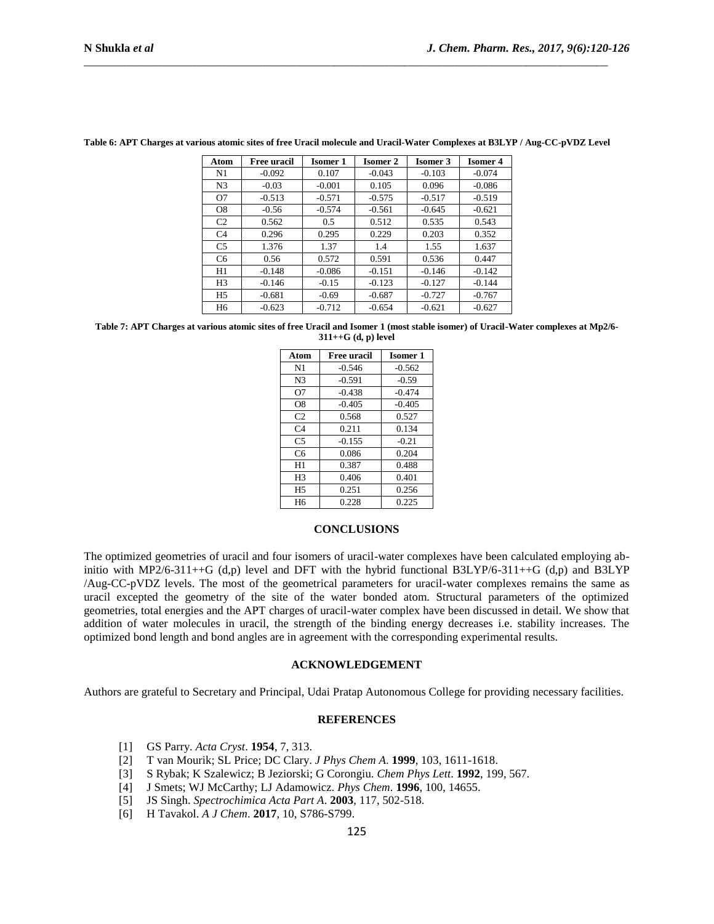| Atom           | <b>Free uracil</b> | <b>Isomer 1</b> | <b>Isomer 2</b> | <b>Isomer 3</b> | <b>Isomer 4</b> |
|----------------|--------------------|-----------------|-----------------|-----------------|-----------------|
| N1             | $-0.092$           | 0.107           | $-0.043$        | $-0.103$        | $-0.074$        |
| N <sub>3</sub> | $-0.03$            | $-0.001$        | 0.105           | 0.096           | $-0.086$        |
| O7             | $-0.513$           | $-0.571$        | $-0.575$        | $-0.517$        | $-0.519$        |
| O <sub>8</sub> | $-0.56$            | $-0.574$        | $-0.561$        | $-0.645$        | $-0.621$        |
| C <sub>2</sub> | 0.562              | 0.5             | 0.512           | 0.535           | 0.543           |
| C <sub>4</sub> | 0.296              | 0.295           | 0.229           | 0.203           | 0.352           |
| C <sub>5</sub> | 1.376              | 1.37            | 1.4             | 1.55            | 1.637           |
| C <sub>6</sub> | 0.56               | 0.572           | 0.591           | 0.536           | 0.447           |
| H1             | $-0.148$           | $-0.086$        | $-0.151$        | $-0.146$        | $-0.142$        |
| H <sub>3</sub> | $-0.146$           | $-0.15$         | $-0.123$        | $-0.127$        | $-0.144$        |
| H <sub>5</sub> | $-0.681$           | $-0.69$         | $-0.687$        | $-0.727$        | $-0.767$        |
| H <sub>6</sub> | $-0.623$           | $-0.712$        | $-0.654$        | $-0.621$        | $-0.627$        |

#### **Table 6: APT Charges at various atomic sites of free Uracil molecule and Uracil-Water Complexes at B3LYP / Aug-CC-pVDZ Level**

\_\_\_\_\_\_\_\_\_\_\_\_\_\_\_\_\_\_\_\_\_\_\_\_\_\_\_\_\_\_\_\_\_\_\_\_\_\_\_\_\_\_\_\_\_\_\_\_\_\_\_\_\_\_\_\_\_\_\_\_\_\_\_\_\_\_\_\_\_\_\_\_\_\_\_\_\_\_\_\_\_\_\_\_\_\_\_\_\_\_

**Table 7: APT Charges at various atomic sites of free Uracil and Isomer 1 (most stable isomer) of Uracil-Water complexes at Mp2/6- 311++G (d, p) level**

| Atom<br><b>Free uracil</b> |          | <b>Isomer 1</b> |
|----------------------------|----------|-----------------|
| N <sub>1</sub>             | $-0.546$ | $-0.562$        |
| N <sub>3</sub>             | $-0.591$ | $-0.59$         |
| O7                         | $-0.438$ | $-0.474$        |
| O <sub>8</sub>             | $-0.405$ | $-0.405$        |
| C <sub>2</sub>             | 0.568    | 0.527           |
| C <sub>4</sub>             | 0.211    | 0.134           |
| C <sub>5</sub>             | $-0.155$ | $-0.21$         |
| C6                         | 0.086    | 0.204           |
| H1                         | 0.387    | 0.488           |
| H <sub>3</sub>             | 0.406    | 0.401           |
| H <sub>5</sub>             | 0.251    | 0.256           |
| H <sub>6</sub>             | 0.228    | 0.225           |

## **CONCLUSIONS**

The optimized geometries of uracil and four isomers of uracil-water complexes have been calculated employing abinitio with MP2/6-311++G (d,p) level and DFT with the hybrid functional B3LYP/6-311++G (d,p) and B3LYP /Aug-CC-pVDZ levels. The most of the geometrical parameters for uracil-water complexes remains the same as uracil excepted the geometry of the site of the water bonded atom. Structural parameters of the optimized geometries, total energies and the APT charges of uracil-water complex have been discussed in detail. We show that addition of water molecules in uracil, the strength of the binding energy decreases i.e. stability increases. The optimized bond length and bond angles are in agreement with the corresponding experimental results.

#### **ACKNOWLEDGEMENT**

Authors are grateful to Secretary and Principal, Udai Pratap Autonomous College for providing necessary facilities.

## **REFERENCES**

- [1] GS Parry. *Acta Cryst*. **1954**, 7, 313.
- [2] T van Mourik; SL Price; DC Clary. *J Phys Chem A*. **1999**, 103, 1611-1618.
- [3] S Rybak; K Szalewicz; B Jeziorski; G Corongiu. *Chem Phys Lett*. **1992**, 199, 567.
- [4] J Smets; WJ McCarthy; LJ Adamowicz. *Phys Chem*. **1996**, 100, 14655.
- [5] JS Singh. *Spectrochimica Acta Part A*. **2003**, 117, 502-518.
- [6] H Tavakol. *A J Chem*. **2017**, 10, S786-S799.